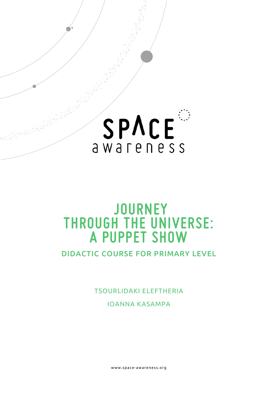

# **JOURNEY THROUGH THE UNIVERSE: A PUPPET SHOW**

DIDACTIC COURSE FOR PRIMARY LEVEL

TSOURLIDAKI ELEFTHERIA

IOANNA KASAMPA

www.space- awareness.org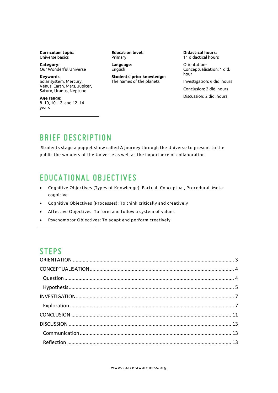**Curriculum topic**: Universe basics

**Category**: Our Wonderful Universe

**Keywords**: Solar system, Mercury, Venus, Earth, Mars, Jupiter, Saturn, Uranus, Neptune

**Age range:** 8–10, 10–12, and 12–14 years

**Education level:** Primary

**Language**: English

#### **Students' prior knowledge:** The names of the planets

**Didactical hours:**  11 didactical hours

Orientation-Conceptualisation: 1 did. hour

Investigation: 6 did. hours

Conclusion: 2 did. hours Discussion: 2 did. hours

# **BRIEF DESCRIPTION**

Students stage a puppet show called A journey through the Universe to present to the public the wonders of the Universe as well as the importance of collaboration.

# **EDUCATIONAL OBJECTIVES**

- Cognitive Objectives (Types of Knowledge): Factual, Conceptual, Procedural, Metacognitive
- Cognitive Objectives (Processes): To think critically and creatively
- Affective Objectives: To form and follow a system of values
- Psychomotor Objectives: To adapt and perform creatively

### **STEPS**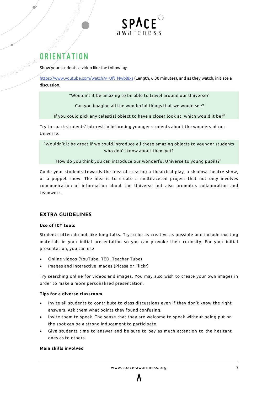

# <span id="page-2-0"></span>**ORIENTATION**

Show your students a video like the following:

[https://www.youtube.com/watch?v=Ufl\\_Nwbl8xs](https://www.youtube.com/watch?v=Ufl_Nwbl8xs) (Length, 6.30 minutes), and as they watch, initiate a discussion.

"Wouldn't it be amazing to be able to travel around our Universe?

Can you imagine all the wonderful things that we would see?

If you could pick any celestial object to have a closer look at, which would it be?"

Try to spark students' interest in informing younger students about the wonders of our Universe.

"Wouldn't it be great if we could introduce all these amazing objects to younger students who don't know about them yet?

How do you think you can introduce our wonderful Universe to young pupils?"

Guide your students towards the idea of creating a theatrical play, a shadow theatre show, or a puppet show. The idea is to create a multifaceted project that not only involves communication of information about the Universe but also promotes collaboration and teamwork.

#### **EXTRA GUIDELINES**

#### **Use of ICT tools**

Students often do not like long talks. Try to be as creative as possible and include exciting materials in your initial presentation so you can provoke their curiosity. For your initial presentation, you can use

- Online videos (YouTube, TED, Teacher Tube)
- Images and interactive images (Picasa or Flickr)

Try searching online for videos and images. You may also wish to create your own images in order to make a more personalised presentation.

#### **Tips for a diverse classroom**

- Invite all students to contribute to class discussions even if they don't know the right answers. Ask them what points they found confusing.
- Invite them to speak. The sense that they are welcome to speak without being put on the spot can be a strong inducement to participate.
- Give students time to answer and be sure to pay as much attention to the hesitant ones as to others.

#### **Main skills involved**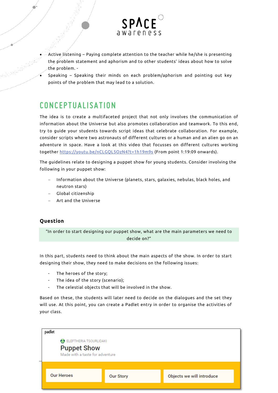

- Active listening Paying complete attention to the teacher while he/she is presenting the problem statement and aphorism and to other students' ideas about how to solve the problem. -
- Speaking Speaking their minds on each problem/aphorism and pointing out key points of the problem that may lead to a solution.

# <span id="page-3-0"></span>**CONCEPTUALISATION**

The idea is to create a multifaceted project that not only involves the communication of information about the Universe but also promotes collaboration and teamwork. To this end, try to guide your students towards script ideas that celebrate collaboration. For example, consider scripts where two astronauts of different cultures or a human and an alien go on an adventure in space. Have a look at this video that focusses on different cultures working together<https://youtu.be/nCLGQL5OzN4?t=1h19m9s> (From point 1:19:09 onwards).

The guidelines relate to designing a puppet show for young students. Consider involving the following in your puppet show:

- − Information about the Universe (planets, stars, galaxies, nebulas, black holes, and neutron stars)
- − Global citizenship
- − Art and the Universe

#### <span id="page-3-1"></span>**Question**

"In order to start designing our puppet show, what are the main parameters we need to decide on?"

In this part, students need to think about the main aspects of the show. In order to start designing their show, they need to make decisions on the following issues:

- The heroes of the story;
- The idea of the story (scenario);
- The celestial objects that will be involved in the show.

Based on these, the students will later need to decide on the dialogues and the set they will use. At this point, you can create a Padlet entry in order to organise the activities of your class.

| padlet                                                                          |                  |                           |  |  |
|---------------------------------------------------------------------------------|------------------|---------------------------|--|--|
| ELEFTHERIA TSOURLIDAKI<br><b>Puppet Show</b><br>Made with a taste for adventure |                  |                           |  |  |
| <b>Our Heroes</b>                                                               | <b>Our Story</b> | Objects we will introduce |  |  |
|                                                                                 |                  |                           |  |  |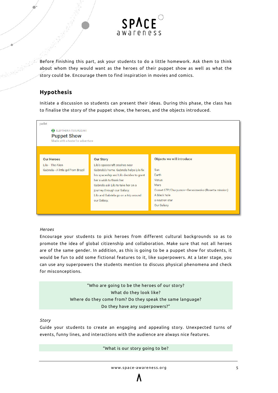

Before finishing this part, ask your students to do a little homework. Ask them to think about whom they would want as the heroes of their puppet show as well as what the story could be. Encourage them to find inspiration in movies and comics.

#### <span id="page-4-0"></span>**Hypothesis**

Initiate a discussion so students can present their ideas. During this phase, the class has to finalise the story of the puppet show, the heroes, and the objects introduced.

| padlet                                                                                     |                                          |                                                   |
|--------------------------------------------------------------------------------------------|------------------------------------------|---------------------------------------------------|
| <b>(-)</b> ELEFTHERIA TSOURLIDAKI<br><b>Puppet Show</b><br>Made with a taste for adventure |                                          |                                                   |
|                                                                                            |                                          |                                                   |
| <b>Our Heroes</b>                                                                          | <b>Our Story</b>                         | Objects we will introduce                         |
| Lilo - The Alien                                                                           | Lilo's spacecraft crashes near           |                                                   |
| Gabriela - A little girl from Brazil                                                       | Gabriela's home. Gabriela helps Lilo fix | Sun                                               |
|                                                                                            | his spaceship and Lilo decides to grant  | Earth                                             |
|                                                                                            | her a wish to thank her.                 | Venus                                             |
|                                                                                            | Gabriela ask Lilo to take her on a       | Mars                                              |
|                                                                                            | journey through our Galaxy.              | Comet 67P/Churyumov-Gerasimenko (Rosetta mission) |
|                                                                                            | Lilo and Gabriela go on a trip around    | A black hole                                      |
|                                                                                            | our Galaxy.                              | a neutron star                                    |
|                                                                                            |                                          | Our Galaxy                                        |
|                                                                                            |                                          |                                                   |

#### *Heroes*

Encourage your students to pick heroes from different cultural backgrounds so as to promote the idea of global citizenship and collaboration. Make sure that not all heroes are of the same gender. In addition, as this is going to be a puppet show for students, it would be fun to add some fictional features to it, like superpowers. At a later stage, you can use any superpowers the students mention to discuss physical phenomena and check for misconceptions.

> "Who are going to be the heroes of our story? What do they look like? Where do they come from? Do they speak the same language? Do they have any superpowers?"

#### *Story*

Guide your students to create an engaging and appealing story. Unexpected turns of events, funny lines, and interactions with the audience are always nice features.

"What is our story going to be?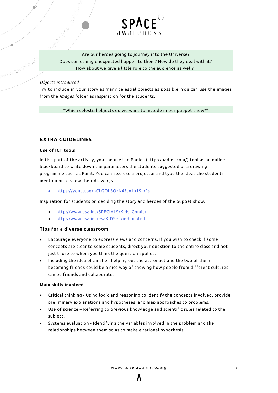

Are our heroes going to journey into the Universe? Does something unexpected happen to them? How do they deal with it? How about we give a little role to the audience as well?"

#### *Objects introduced*

ية من المستقبل المستقبل المستقبل المستقبل المستقبل المستقبل المستقبل المستقبل المستقبل المستقبل المستقبل المست<br>المستقبل المستقبل المستقبل المستقبل المستقبل المستقبل المستقبل المستقبل المستقبل المستقبل المستقبل المستقبل ا<br>

Try to include in your story as many celestial objects as possible. You can use the images from the *Images* folder as inspiration for the students.

"Which celestial objects do we want to include in our puppet show?"

#### **EXTRA GUIDELINES**

#### **Use of ICT tools**

In this part of the activity, you can use the Padlet [\(http://padlet.com/\)](http://padlet.com/) tool as an online blackboard to write down the parameters the students suggested or a drawing programme such as Paint. You can also use a projector and type the ideas the students mention or to show their drawings.

• <https://youtu.be/nCLGQL5OzN4?t=1h19m9s>

Inspiration for students on deciding the story and heroes of the puppet show.

- [http://www.esa.int/SPECIALS/Kids\\_Comic/](http://www.esa.int/SPECIALS/Kids_Comic/)
- <http://www.esa.int/esaKIDSen/index.html>

#### **Tips for a diverse classroom**

- Encourage everyone to express views and concerns. If you wish to check if some concepts are clear to some students, direct your question to the entire class and not just those to whom you think the question applies.
- Including the idea of an alien helping out the astronaut and the two of them becoming friends could be a nice way of showing how people from different cultures can be friends and collaborate.

#### **Main skills involved**

- Critical thinking Using logic and reasoning to identify the concepts involved, provide preliminary explanations and hypotheses, and map approaches to problems.
- Use of science Referring to previous knowledge and scientific rules related to the subject.
- Systems evaluation Identifying the variables involved in the problem and the relationships between them so as to make a rational hypothesis.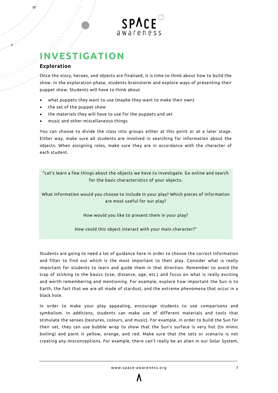

# <span id="page-6-0"></span>**INVESTIGATION**

#### <span id="page-6-1"></span>**Exploration**

Once the story, heroes, and objects are finalised, it is time to think about how to build the show. In the exploration phase, students brainstorm and explore ways of presenting their puppet show. Students will have to think about

- what puppets they want to use (maybe they want to make their own)
- the set of the puppet show
- the materials they will have to use for the puppets and set
- music and other miscellaneous things

You can choose to divide the class into groups either at this point or at a later stage. Either way, make sure all students are involved in searching for information about the objects. When assigning roles, make sure they are in accordance with the character of each student.

"Let's learn a few things about the objects we have to investigate. Go online and search for the basic characteristics of your objects.

What information would you choose to include in your play? Which pieces of information are most useful for our play?

How would you like to present them in your play?

How could this object interact with your main character?"

Students are going to need a lot of guidance here in order to choose the correct information and filter to find out which is the most important to their play. Consider what is really important for students to learn and guide them in that direction. Remember to avoid the trap of sticking to the basics (size, distance, age, etc.) and focus on what is really exciting and worth remembering and mentioning. For example, explore how important the Sun is to Earth, the fact that we are all made of stardust, and the extreme phenomena that occur in a black hole.

In order to make your play appealing, encourage students to use comparisons and symbolism. In additions, students can make use of different materials and tools that stimulate the senses (textures, colours, and music). For example, in order to build the Sun for their set, they can use bubble wrap to show that the Sun's surface is very hot (to mimic boiling) and paint it yellow, orange, and red. Make sure that the sets or scenario is not creating any misconceptions. For example, there can't really be an alien in our Solar System,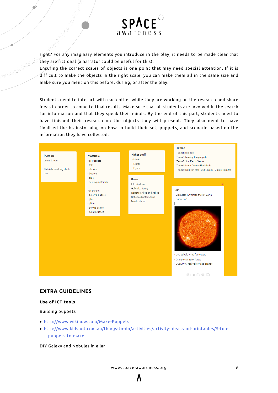

right? For any imaginary elements you introduce in the play, it needs to be made clear that they are fictional (a narrator could be useful for this).

Ensuring the correct scales of objects is one point that may need special attention. If it is difficult to make the objects in the right scale, you can make them all in the same size and make sure you mention this before, during, or after the play.

Students need to interact with each other while they are working on the research and share ideas in order to come to final results. Make sure that all students are involved in the search for information and that they speak their minds. By the end of this part, students need to have finished their research on the objects they will present. They also need to have finalised the brainstorming on how to build their set, puppets, and scenario based on the information they have collected.



#### **EXTRA GUIDELINES**

#### **Use of ICT tools**

 $\blacksquare$ 

a a filim a farka a farka a farka a farka a farka a farka a farka a farka a farka a farka a farka a farka a fa<br>Tagairtí

Building puppets

- <http://www.wikihow.com/Make-Puppets>
- [http://www.kidspot.com.au/things-to-do/activities/activity-ideas-and-printables/5-fun](http://www.kidspot.com.au/things-to-do/activities/activity-ideas-and-printables/5-fun-puppets-to-make)[puppets-to-make](http://www.kidspot.com.au/things-to-do/activities/activity-ideas-and-printables/5-fun-puppets-to-make)

DIY Galaxy and Nebulas in a jar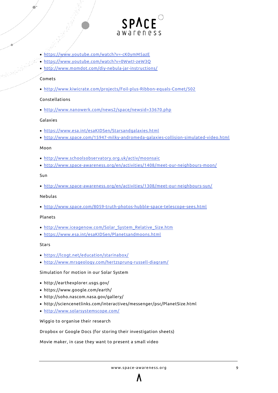

- <https://www.youtube.com/watch?v=-cK0ymM5azE>
- <https://www.youtube.com/watch?v=0WwtI-zeW3Q>
- <http://www.momdot.com/diy-nebula-jar-instructions/>

#### Comets

• <http://www.kiwicrate.com/projects/Foil-plus-Ribbon-equals-Comet/502>

#### Constellations

• <http://www.nanowerk.com/news2/space/newsid=33670.php>

#### Galaxies

- <https://www.esa.int/esaKIDSen/Starsandgalaxies.html>
- <http://www.space.com/15947-milky-andromeda-galaxies-collision-simulated-video.html>

#### Moon

- <http://www.schoolsobservatory.org.uk/activ/moonsaic>
- <http://www.space-awareness.org/en/activities/1408/meet-our-neighbours-moon/>

#### Sun

• <http://www.space-awareness.org/en/activities/1308/meet-our-neighbours-sun/>

#### Nebulas

• <http://www.space.com/8059-truth-photos-hubble-space-telescope-sees.html>

#### Planets

- [http://www.iceagenow.com/Solar\\_System\\_Relative\\_Size.htm](http://www.iceagenow.com/Solar_System_Relative_Size.htm)
- <https://www.esa.int/esaKIDSen/Planetsandmoons.html>

#### Stars

- <https://lcogt.net/education/starinabox/>
- <http://www.mrsgeology.com/hertzsprung-russell-diagram/>

#### Simulation for motion in our Solar System

- http://earthexplorer.usgs.gov/
- https://www.google.com/earth/
- http://soho.nascom.nasa.gov/gallery/
- http://sciencenetlinks.com/interactives/messenger/psc/PlanetSize.html
- <http://www.solarsystemscope.com/>

Wiggio to organise their research

Dropbox or Google Docs (for storing their investigation sheets)

Movie maker, in case they want to present a small video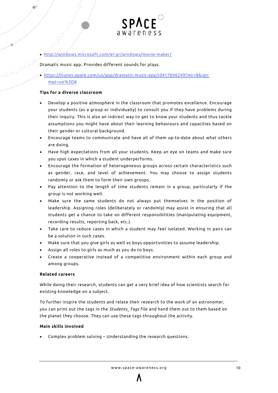

- <http://windows.microsoft.com/el-gr/windows/movie-maker/>
- Dramatic music app. Provides different sounds for plays.
- [https://itunes.apple.com/us/app/dramatic-music-app/id417696249?mt=8&ign](https://itunes.apple.com/us/app/dramatic-music-app/id417696249?mt=8&ign-mpt=uo%3D8)[mpt=uo%3D8](https://itunes.apple.com/us/app/dramatic-music-app/id417696249?mt=8&ign-mpt=uo%3D8)

#### **Tips for a diverse classroom**

- Develop a positive atmosphere in the classroom that promotes excellence. Encourage your students (as a group or individually) to consult you if they have problems during their inquiry. This is also an indirect way to get to know your students and thus tackle assumptions you might have about their learning behaviours and capacities based on their gender or cultural background.
- Encourage teams to communicate and have all of them up-to-date about what others are doing.
- Have high expectations from all your students. Keep an eye on teams and make sure you spot cases in which a student underperforms.
- Encourage the formation of heterogeneous groups across certain characteristics such as gender, race, and level of achievement. You may choose to assign students randomly or ask them to form their own groups.
- Pay attention to the length of time students remain in a group, particularly if the group is not working well.
- Make sure the same students do not always put themselves in the position of leadership. Assigning roles (deliberately or randomly) may assist in ensuring that all students get a chance to take on different responsibilities (manipulating equipment, recording results, reporting back, etc.).
- Take care to reduce cases in which a student may feel isolated. Working in pairs can be a solution in such cases.
- Make sure that you give girls as well as boys opportunities to assume leadership.
- Assign all roles to girls as much as you do to boys.
- Create a cooperative instead of a competitive environment within each group and among groups.

#### **Related careers**

While doing their research, students can get a very brief idea of how scientists search for existing knowledge on a subject.

To further inspire the students and relate their research to the work of an astronomer, you can print out the tags in the *Students\_Tags* file and hand them out to them based on the planet they choose. They can use these tags throughout the activity.

#### **Main skills involved**

• Complex problem solving – Understanding the research questions.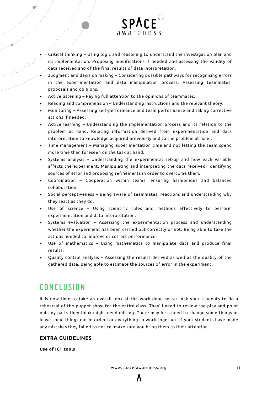

- Critical thinking Using logic and reasoning to understand the investigation plan and its implementation. Proposing modifications if needed and assessing the validity of data received and of the final results of data interpretation.
- Judgment and decision making Considering possible pathways for recognising errors in the experimentation and data manipulation process. Assessing teammates' proposals and opinions.
- Active listening Paying full attention to the opinions of teammates.
- Reading and comprehension Understanding instructions and the relevant theory.
- Monitoring Assessing self-performance and team performance and taking corrective actions if needed.
- Active learning Understanding the implementation process and its relation to the problem at hand. Relating information derived from experimentation and data interpretation to knowledge acquired previously and to the problem at hand.
- Time management Managing experimentation time and not letting the team spend more time than foreseen on the task at hand.
- Systems analysis Understanding the experimental set-up and how each variable affects the experiment. Manipulating and interpreting the data received. Identifying sources of error and proposing refinements in order to overcome them.
- Coordination Cooperation within teams, ensuring harmonious and balanced collaboration.
- Social perceptiveness Being aware of teammates' reactions and understanding why they react as they do.
- Use of science Using scientific rules and methods effectively to perform experimentation and data interpretation.
- Systems evaluation Assessing the experimentation process and understanding whether the experiment has been carried out correctly or not. Being able to take the actions needed to improve or correct performance.
- Use of mathematics Using mathematics to manipulate data and produce final results.
- Quality control analysis Assessing the results derived as well as the quality of the gathered data. Being able to estimate the sources of error in the experiment.

# <span id="page-10-0"></span>**CONCLUSION**

It is now time to take an overall look at the work done so far. Ask your students to do a rehearsal of the puppet show for the entire class. They'll need to review the play and point out any parts they think might need editing. There may be a need to change some things or leave some things out in order for everything to work together. If your students have made any mistakes they failed to notice, make sure you bring them to their attention.

#### **EXTRA GUIDELINES**

**Use of ICT tools**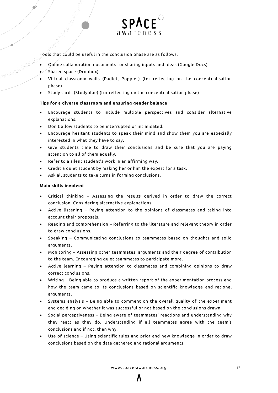

Tools that could be useful in the conclusion phase are as follows:

- Online collaboration documents for sharing inputs and ideas (Google Docs)
- Shared space (Dropbox)
- Virtual classroom walls (Padlet, Popplet) (for reflecting on the conceptualisation phase)
- Study cards (Studyblue) (for reflecting on the conceptualisation phase)

#### **Tips for a diverse classroom and ensuring gender balance**

- Encourage students to include multiple perspectives and consider alternative explanations.
- Don't allow students to be interrupted or intimidated.
- Encourage hesitant students to speak their mind and show them you are especially interested in what they have to say.
- Give students time to draw their conclusions and be sure that you are paying attention to all of them equally.
- Refer to a silent student's work in an affirming way.
- Credit a quiet student by making her or him the expert for a task.
- Ask all students to take turns in forming conclusions.

#### **Main skills involved**

- Critical thinking Assessing the results derived in order to draw the correct conclusion. Considering alternative explanations.
- Active listening Paying attention to the opinions of classmates and taking into account their proposals.
- Reading and comprehension Referring to the literature and relevant theory in order to draw conclusions.
- Speaking Communicating conclusions to teammates based on thoughts and solid arguments.
- Monitoring Assessing other teammates' arguments and their degree of contribution to the team. Encouraging quiet teammates to participate more.
- Active learning Paying attention to classmates and combining opinions to draw correct conclusions.
- Writing Being able to produce a written report of the experimentation process and how the team came to its conclusions based on scientific knowledge and rational arguments.
- Systems analysis Being able to comment on the overall quality of the experiment and deciding on whether it was successful or not based on the conclusions drawn.
- Social perceptiveness Being aware of teammates' reactions and understanding why they react as they do. Understanding if all teammates agree with the team's conclusions and if not, then why.
- Use of science Using scientific rules and prior and new knowledge in order to draw conclusions based on the data gathered and rational arguments.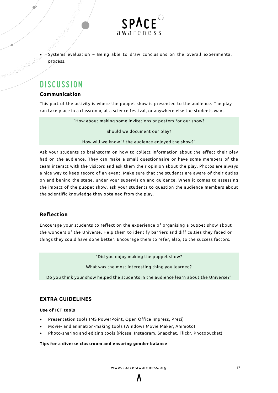

• Systems evaluation – Being able to draw conclusions on the overall experimental process.

# <span id="page-12-0"></span>**DISCUSSION**

#### <span id="page-12-1"></span>**Communication**

This part of the activity is where the puppet show is presented to the audience. The play can take place in a classroom, at a science festival, or anywhere else the students want.

"How about making some invitations or posters for our show?

Should we document our play?

How will we know if the audience enjoyed the show?"

Ask your students to brainstorm on how to collect information about the effect their play had on the audience. They can make a small questionnaire or have some members of the team interact with the visitors and ask them their opinion about the play. Photos are always a nice way to keep record of an event. Make sure that the students are aware of their duties on and behind the stage, under your supervision and guidance. When it comes to assessing the impact of the puppet show, ask your students to question the audience members about the scientific knowledge they obtained from the play.

#### <span id="page-12-2"></span>**Reflection**

Encourage your students to reflect on the experience of organising a puppet show about the wonders of the Universe. Help them to identify barriers and difficulties they faced or things they could have done better. Encourage them to refer, also, to the success factors.

"Did you enjoy making the puppet show?

What was the most interesting thing you learned?

Do you think your show helped the students in the audience learn about the Universe?"

#### **EXTRA GUIDELINES**

#### **Use of ICT tools**

- Presentation tools (MS PowerPoint, Open Office Impress, Prezi)
- Movie- and animation-making tools (Windows Movie Maker, Animoto)
- Photo-sharing and editing tools (Picasa, Instagram, Snapchat, Flickr, Photobucket)

#### **Tips for a diverse classroom and ensuring gender balance**